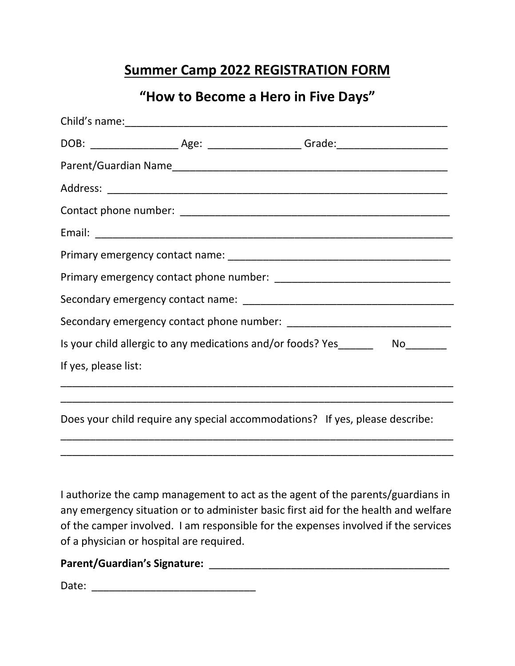## **Summer Camp 2022 REGISTRATION FORM**

### **"How to Become a Hero in Five Days"**

| DOB: __________________________Age: _______________________Grade:__________________________________ |  |  |
|-----------------------------------------------------------------------------------------------------|--|--|
|                                                                                                     |  |  |
|                                                                                                     |  |  |
|                                                                                                     |  |  |
|                                                                                                     |  |  |
|                                                                                                     |  |  |
|                                                                                                     |  |  |
|                                                                                                     |  |  |
|                                                                                                     |  |  |
| Is your child allergic to any medications and/or foods? Yes_____________________                    |  |  |
| If yes, please list:                                                                                |  |  |
|                                                                                                     |  |  |
| Does your child require any special accommodations? If yes, please describe:                        |  |  |

I authorize the camp management to act as the agent of the parents/guardians in any emergency situation or to administer basic first aid for the health and welfare of the camper involved. I am responsible for the expenses involved if the services of a physician or hospital are required.

\_\_\_\_\_\_\_\_\_\_\_\_\_\_\_\_\_\_\_\_\_\_\_\_\_\_\_\_\_\_\_\_\_\_\_\_\_\_\_\_\_\_\_\_\_\_\_\_\_\_\_\_\_\_\_\_\_\_\_\_\_\_\_\_\_\_\_ \_\_\_\_\_\_\_\_\_\_\_\_\_\_\_\_\_\_\_\_\_\_\_\_\_\_\_\_\_\_\_\_\_\_\_\_\_\_\_\_\_\_\_\_\_\_\_\_\_\_\_\_\_\_\_\_\_\_\_\_\_\_\_\_\_\_\_

#### **Parent/Guardian's Signature:** \_\_\_\_\_\_\_\_\_\_\_\_\_\_\_\_\_\_\_\_\_\_\_\_\_\_\_\_\_\_\_\_\_\_\_\_\_\_\_\_\_

Date: \_\_\_\_\_\_\_\_\_\_\_\_\_\_\_\_\_\_\_\_\_\_\_\_\_\_\_\_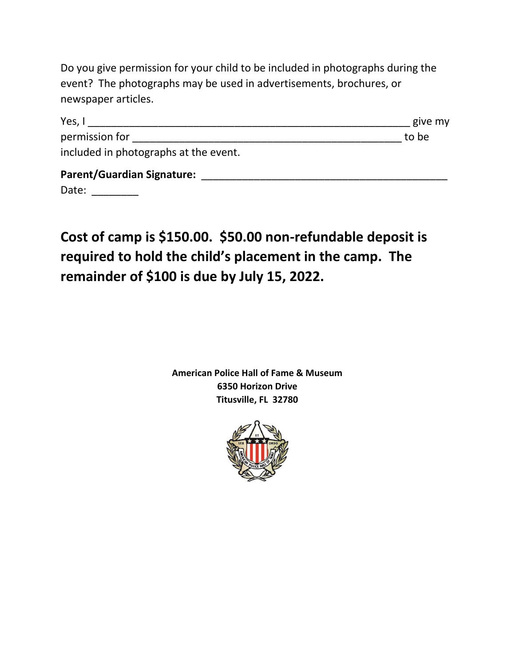Do you give permission for your child to be included in photographs during the event? The photographs may be used in advertisements, brochures, or newspaper articles.

| Yes, I                                | give my |
|---------------------------------------|---------|
| permission for                        | to be   |
| included in photographs at the event. |         |
| <b>Parent/Guardian Signature:</b>     |         |
| Date:                                 |         |

**Cost of camp is \$150.00. \$50.00 non-refundable deposit is required to hold the child's placement in the camp. The remainder of \$100 is due by July 15, 2022.**

> **American Police Hall of Fame & Museum 6350 Horizon Drive Titusville, FL 32780**